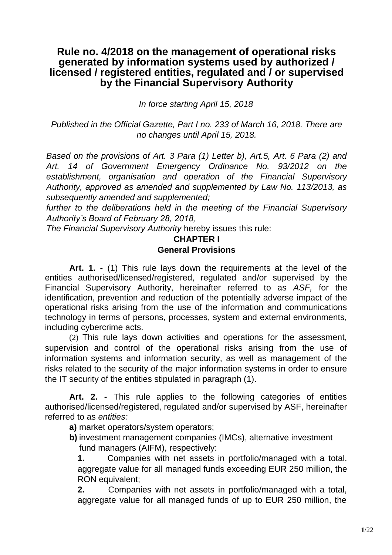## **Rule no. 4/2018 on the management of operational risks generated by information systems used by authorized / licensed / registered entities, regulated and / or supervised by the Financial Supervisory Authority**

*In force starting April 15, 2018*

*Published in the Official Gazette, Part I no. 233 of March 16, 2018. There are no changes until April 15, 2018.*

*Based on the provisions of Art. 3 Para (1) Letter b), Art.5, Art. 6 Para (2) and Art. 14 of Government Emergency Ordinance No. 93/2012 on the establishment, organisation and operation of the Financial Supervisory Authority, approved as amended and supplemented by Law No. 113/2013, as subsequently amended and supplemented;*

*further to the deliberations held in the meeting of the Financial Supervisory Authority's Board of February 28, 2018,*

*The Financial Supervisory Authority* hereby issues this rule:

## **CHAPTER I General Provisions**

**Art. 1. -** (1) This rule lays down the requirements at the level of the entities authorised/licensed/registered, regulated and/or supervised by the Financial Supervisory Authority, hereinafter referred to as *ASF,* for the identification, prevention and reduction of the potentially adverse impact of the operational risks arising from the use of the information and communications technology in terms of persons, processes, system and external environments, including cybercrime acts.

(2) This rule lays down activities and operations for the assessment, supervision and control of the operational risks arising from the use of information systems and information security, as well as management of the risks related to the security of the major information systems in order to ensure the IT security of the entities stipulated in paragraph (1).

**Art. 2. -** This rule applies to the following categories of entities authorised/licensed/registered, regulated and/or supervised by ASF, hereinafter referred to as *entities:*

**a)** market operators/system operators;

**b)** investment management companies (IMCs), alternative investment fund managers (AIFM), respectively:

**1.** Companies with net assets in portfolio/managed with a total, aggregate value for all managed funds exceeding EUR 250 million, the RON equivalent;

**2.** Companies with net assets in portfolio/managed with a total, aggregate value for all managed funds of up to EUR 250 million, the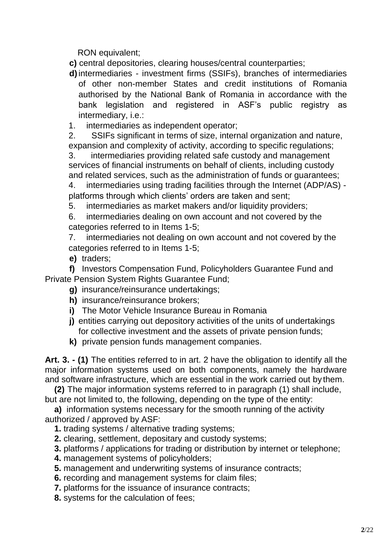RON equivalent;

**c)** central depositories, clearing houses/central counterparties;

- **d)**intermediaries investment firms (SSIFs), branches of intermediaries of other non-member States and credit institutions of Romania authorised by the National Bank of Romania in accordance with the bank legislation and registered in ASF's public registry as intermediary, i.e.:
- 1. intermediaries as independent operator;

2. SSIFs significant in terms of size, internal organization and nature, expansion and complexity of activity, according to specific regulations;

3. intermediaries providing related safe custody and management services of financial instruments on behalf of clients, including custody and related services, such as the administration of funds or guarantees;

4. intermediaries using trading facilities through the Internet (ADP/AS) platforms through which clients' orders are taken and sent;

5. intermediaries as market makers and/or liquidity providers;

6. intermediaries dealing on own account and not covered by the categories referred to in Items 1-5;

7. intermediaries not dealing on own account and not covered by the categories referred to in Items 1-5;

**e)** traders;

**f)** Investors Compensation Fund, Policyholders Guarantee Fund and Private Pension System Rights Guarantee Fund;

- **g)** insurance/reinsurance undertakings;
- **h)** insurance/reinsurance brokers;
- **i)** The Motor Vehicle Insurance Bureau in Romania
- **j)** entities carrying out depository activities of the units of undertakings for collective investment and the assets of private pension funds;
- **k)** private pension funds management companies.

**Art. 3. - (1)** The entities referred to in art. 2 have the obligation to identify all the major information systems used on both components, namely the hardware and software infrastructure, which are essential in the work carried out by them.

**(2)** The major information systems referred to in paragraph (1) shall include, but are not limited to, the following, depending on the type of the entity:

**a)** information systems necessary for the smooth running of the activity authorized / approved by ASF:

- **1.** trading systems / alternative trading systems;
- **2.** clearing, settlement, depositary and custody systems;
- **3.** platforms / applications for trading or distribution by internet or telephone;
- **4.** management systems of policyholders;
- **5.** management and underwriting systems of insurance contracts;
- **6.** recording and management systems for claim files;
- **7.** platforms for the issuance of insurance contracts;
- **8.** systems for the calculation of fees;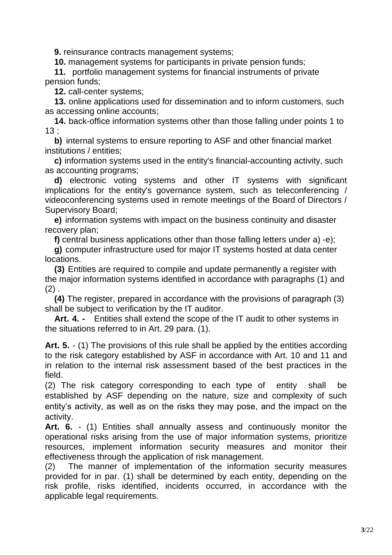**9.** reinsurance contracts management systems;

**10.** management systems for participants in private pension funds;

**11.** portfolio management systems for financial instruments of private pension funds;

**12.** call-center systems;

**13.** online applications used for dissemination and to inform customers, such as accessing online accounts;

**14.** back-office information systems other than those falling under points 1 to 13 ;

**b)** internal systems to ensure reporting to ASF and other financial market institutions / entities;

**c)** information systems used in the entity's financial-accounting activity, such as accounting programs;

**d)** electronic voting systems and other IT systems with significant implications for the entity's governance system, such as teleconferencing / videoconferencing systems used in remote meetings of the Board of Directors / Supervisory Board;

**e)** information systems with impact on the business continuity and disaster recovery plan;

**f)** central business applications other than those falling letters under a) -e);

**g)** computer infrastructure used for major IT systems hosted at data center locations.

**(3)** Entities are required to compile and update permanently a register with the major information systems identified in accordance with paragraphs (1) and  $(2)$ .

**(4)** The register, prepared in accordance with the provisions of paragraph (3) shall be subject to verification by the IT auditor.

**Art. 4. -** Entities shall extend the scope of the IT audit to other systems in the situations referred to in Art. 29 para. (1).

**Art. 5.** - (1) The provisions of this rule shall be applied by the entities according to the risk category established by ASF in accordance with Art. 10 and 11 and in relation to the internal risk assessment based of the best practices in the field.

(2) The risk category corresponding to each type of entity shall be established by ASF depending on the nature, size and complexity of such entity's activity, as well as on the risks they may pose, and the impact on the activity.

**Art. 6.** - (1) Entities shall annually assess and continuously monitor the operational risks arising from the use of major information systems, prioritize resources, implement information security measures and monitor their effectiveness through the application of risk management.

(2) The manner of implementation of the information security measures provided for in par. (1) shall be determined by each entity, depending on the risk profile, risks identified, incidents occurred, in accordance with the applicable legal requirements.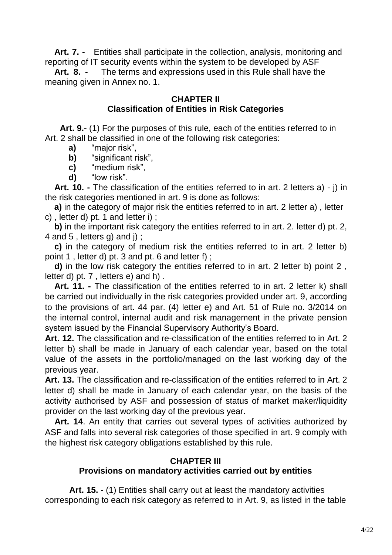**Art. 7. -** Entities shall participate in the collection, analysis, monitoring and reporting of IT security events within the system to be developed by ASF

**Art. 8. -** The terms and expressions used in this Rule shall have the meaning given in Annex no. 1.

## **CHAPTER II Classification of Entities in Risk Categories**

**Art. 9.**- (1) For the purposes of this rule, each of the entities referred to in Art. 2 shall be classified in one of the following risk categories:

- **a)** "major risk",
- **b)** "significant risk".
- **c)** "medium risk",
- **d)** "low risk".

**Art. 10. -** The classification of the entities referred to in art. 2 letters a) - j) in the risk categories mentioned in art. 9 is done as follows:

**a)** in the category of major risk the entities referred to in art. 2 letter a) , letter c) , letter d) pt. 1 and letter i) ;

**b)** in the important risk category the entities referred to in art. 2. letter d) pt. 2, 4 and 5 , letters g) and j) ;

**c)** in the category of medium risk the entities referred to in art. 2 letter b) point 1 , letter d) pt. 3 and pt. 6 and letter f) ;

**d)** in the low risk category the entities referred to in art. 2 letter b) point 2 , letter d) pt. 7 , letters e) and h) .

**Art. 11. -** The classification of the entities referred to in art. 2 letter k) shall be carried out individually in the risk categories provided under art. 9, according to the provisions of art. 44 par. (4) letter e) and Art. 51 of Rule no. 3/2014 on the internal control, internal audit and risk management in the private pension system issued by the Financial Supervisory Authority's Board.

**Art. 12.** The classification and re-classification of the entities referred to in Art. 2 letter b) shall be made in January of each calendar year, based on the total value of the assets in the portfolio/managed on the last working day of the previous year.

**Art. 13.** The classification and re-classification of the entities referred to in Art. 2 letter d) shall be made in January of each calendar year, on the basis of the activity authorised by ASF and possession of status of market maker/liquidity provider on the last working day of the previous year.

**Art. 14**. An entity that carries out several types of activities authorized by ASF and falls into several risk categories of those specified in art. 9 comply with the highest risk category obligations established by this rule.

## **CHAPTER III Provisions on mandatory activities carried out by entities**

**Art. 15.** - (1) Entities shall carry out at least the mandatory activities corresponding to each risk category as referred to in Art. 9, as listed in the table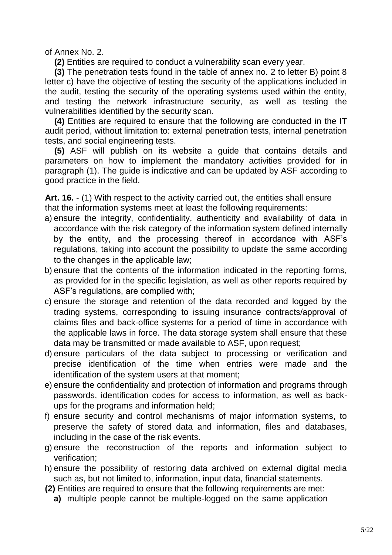of Annex No. 2.

**(2)** Entities are required to conduct a vulnerability scan every year.

**(3)** The penetration tests found in the table of annex no. 2 to letter B) point 8 letter c) have the objective of testing the security of the applications included in the audit, testing the security of the operating systems used within the entity, and testing the network infrastructure security, as well as testing the vulnerabilities identified by the security scan.

**(4)** Entities are required to ensure that the following are conducted in the IT audit period, without limitation to: external penetration tests, internal penetration tests, and social engineering tests.

**(5)** ASF will publish on its website a guide that contains details and parameters on how to implement the mandatory activities provided for in paragraph (1). The guide is indicative and can be updated by ASF according to good practice in the field.

**Art. 16.** - (1) With respect to the activity carried out, the entities shall ensure that the information systems meet at least the following requirements:

- a) ensure the integrity, confidentiality, authenticity and availability of data in accordance with the risk category of the information system defined internally by the entity, and the processing thereof in accordance with ASF's regulations, taking into account the possibility to update the same according to the changes in the applicable law;
- b) ensure that the contents of the information indicated in the reporting forms, as provided for in the specific legislation, as well as other reports required by ASF's regulations, are complied with;
- c) ensure the storage and retention of the data recorded and logged by the trading systems, corresponding to issuing insurance contracts/approval of claims files and back-office systems for a period of time in accordance with the applicable laws in force. The data storage system shall ensure that these data may be transmitted or made available to ASF, upon request;
- d) ensure particulars of the data subject to processing or verification and precise identification of the time when entries were made and the identification of the system users at that moment;
- e) ensure the confidentiality and protection of information and programs through passwords, identification codes for access to information, as well as backups for the programs and information held;
- f) ensure security and control mechanisms of major information systems, to preserve the safety of stored data and information, files and databases, including in the case of the risk events.
- g) ensure the reconstruction of the reports and information subject to verification;
- h) ensure the possibility of restoring data archived on external digital media such as, but not limited to, information, input data, financial statements.
- **(2)** Entities are required to ensure that the following requirements are met:
	- **a)** multiple people cannot be multiple-logged on the same application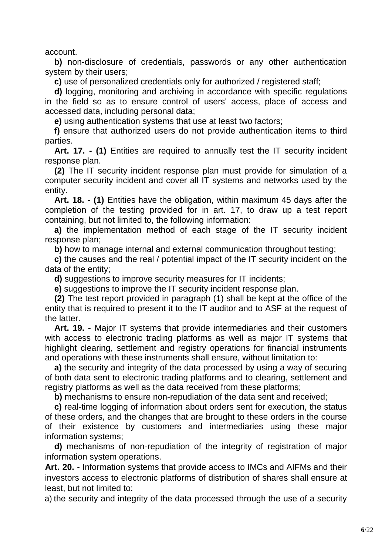account.

**b)** non-disclosure of credentials, passwords or any other authentication system by their users;

**c)** use of personalized credentials only for authorized / registered staff;

**d)** logging, monitoring and archiving in accordance with specific regulations in the field so as to ensure control of users' access, place of access and accessed data, including personal data;

**e)** using authentication systems that use at least two factors;

**f)** ensure that authorized users do not provide authentication items to third parties.

**Art. 17. - (1)** Entities are required to annually test the IT security incident response plan.

**(2)** The IT security incident response plan must provide for simulation of a computer security incident and cover all IT systems and networks used by the entity.

**Art. 18. - (1)** Entities have the obligation, within maximum 45 days after the completion of the testing provided for in art. 17, to draw up a test report containing, but not limited to, the following information:

**a)** the implementation method of each stage of the IT security incident response plan;

**b)** how to manage internal and external communication throughout testing;

**c)** the causes and the real / potential impact of the IT security incident on the data of the entity;

**d)** suggestions to improve security measures for IT incidents;

**e)** suggestions to improve the IT security incident response plan.

**(2)** The test report provided in paragraph (1) shall be kept at the office of the entity that is required to present it to the IT auditor and to ASF at the request of the latter.

**Art. 19. -** Major IT systems that provide intermediaries and their customers with access to electronic trading platforms as well as major IT systems that highlight clearing, settlement and registry operations for financial instruments and operations with these instruments shall ensure, without limitation to:

**a)** the security and integrity of the data processed by using a way of securing of both data sent to electronic trading platforms and to clearing, settlement and registry platforms as well as the data received from these platforms;

**b)** mechanisms to ensure non-repudiation of the data sent and received;

**c)** real-time logging of information about orders sent for execution, the status of these orders, and the changes that are brought to these orders in the course of their existence by customers and intermediaries using these major information systems;

**d)** mechanisms of non-repudiation of the integrity of registration of major information system operations.

**Art. 20.** - Information systems that provide access to IMCs and AIFMs and their investors access to electronic platforms of distribution of shares shall ensure at least, but not limited to:

a) the security and integrity of the data processed through the use of a security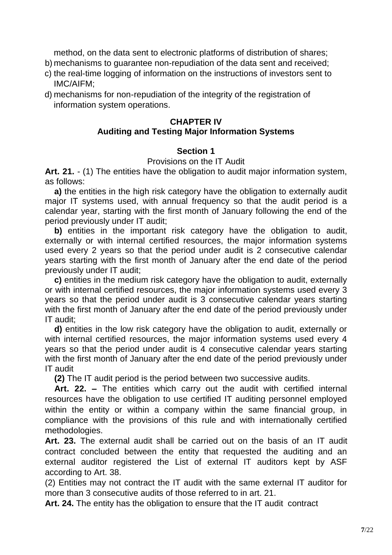method, on the data sent to electronic platforms of distribution of shares;

- b) mechanisms to guarantee non-repudiation of the data sent and received;
- c) the real-time logging of information on the instructions of investors sent to IMC/AIFM;
- d) mechanisms for non-repudiation of the integrity of the registration of information system operations.

## **CHAPTER IV**

## **Auditing and Testing Major Information Systems**

## **Section 1**

## Provisions on the IT Audit

**Art. 21.** - (1) The entities have the obligation to audit major information system, as follows:

**a)** the entities in the high risk category have the obligation to externally audit major IT systems used, with annual frequency so that the audit period is a calendar year, starting with the first month of January following the end of the period previously under IT audit;

**b)** entities in the important risk category have the obligation to audit, externally or with internal certified resources, the major information systems used every 2 years so that the period under audit is 2 consecutive calendar years starting with the first month of January after the end date of the period previously under IT audit;

**c)** entities in the medium risk category have the obligation to audit, externally or with internal certified resources, the major information systems used every 3 years so that the period under audit is 3 consecutive calendar years starting with the first month of January after the end date of the period previously under IT audit;

**d)** entities in the low risk category have the obligation to audit, externally or with internal certified resources, the major information systems used every 4 years so that the period under audit is 4 consecutive calendar years starting with the first month of January after the end date of the period previously under IT audit

**(2)** The IT audit period is the period between two successive audits.

**Art. 22. –** The entities which carry out the audit with certified internal resources have the obligation to use certified IT auditing personnel employed within the entity or within a company within the same financial group, in compliance with the provisions of this rule and with internationally certified methodologies.

**Art. 23.** The external audit shall be carried out on the basis of an IT audit contract concluded between the entity that requested the auditing and an external auditor registered the List of external IT auditors kept by ASF according to Art. 38.

(2) Entities may not contract the IT audit with the same external IT auditor for more than 3 consecutive audits of those referred to in art. 21.

**Art. 24.** The entity has the obligation to ensure that the IT audit contract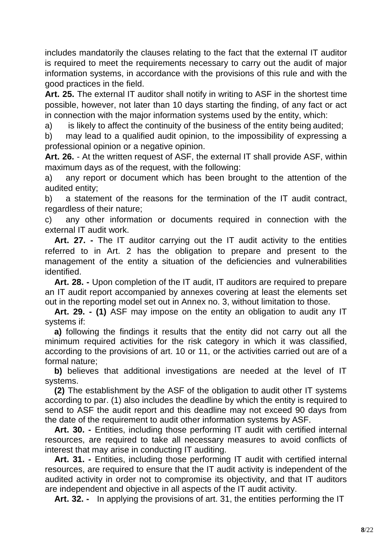includes mandatorily the clauses relating to the fact that the external IT auditor is required to meet the requirements necessary to carry out the audit of major information systems, in accordance with the provisions of this rule and with the good practices in the field.

**Art. 25.** The external IT auditor shall notify in writing to ASF in the shortest time possible, however, not later than 10 days starting the finding, of any fact or act in connection with the major information systems used by the entity, which:

a) is likely to affect the continuity of the business of the entity being audited;

b) may lead to a qualified audit opinion, to the impossibility of expressing a professional opinion or a negative opinion.

**Art. 26.** - At the written request of ASF, the external IT shall provide ASF, within maximum days as of the request, with the following:

a) any report or document which has been brought to the attention of the audited entity;

b) a statement of the reasons for the termination of the IT audit contract, regardless of their nature;

c) any other information or documents required in connection with the external IT audit work.

**Art. 27. -** The IT auditor carrying out the IT audit activity to the entities referred to in Art. 2 has the obligation to prepare and present to the management of the entity a situation of the deficiencies and vulnerabilities identified.

**Art. 28. -** Upon completion of the IT audit, IT auditors are required to prepare an IT audit report accompanied by annexes covering at least the elements set out in the reporting model set out in Annex no. 3, without limitation to those.

**Art. 29. - (1)** ASF may impose on the entity an obligation to audit any IT systems if:

**a)** following the findings it results that the entity did not carry out all the minimum required activities for the risk category in which it was classified, according to the provisions of art. 10 or 11, or the activities carried out are of a formal nature;

**b)** believes that additional investigations are needed at the level of IT systems.

**(2)** The establishment by the ASF of the obligation to audit other IT systems according to par. (1) also includes the deadline by which the entity is required to send to ASF the audit report and this deadline may not exceed 90 days from the date of the requirement to audit other information systems by ASF.

**Art. 30. -** Entities, including those performing IT audit with certified internal resources, are required to take all necessary measures to avoid conflicts of interest that may arise in conducting IT auditing.

**Art. 31. -** Entities, including those performing IT audit with certified internal resources, are required to ensure that the IT audit activity is independent of the audited activity in order not to compromise its objectivity, and that IT auditors are independent and objective in all aspects of the IT audit activity.

**Art. 32. -** In applying the provisions of art. 31, the entities performing the IT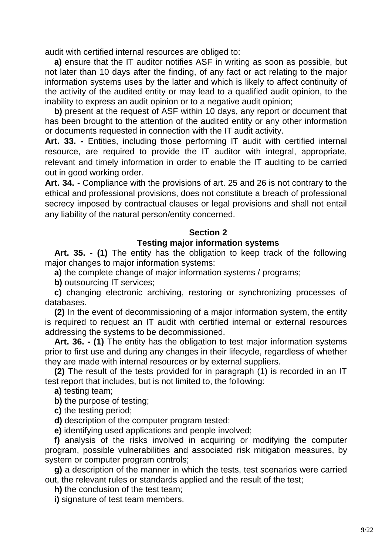audit with certified internal resources are obliged to:

**a)** ensure that the IT auditor notifies ASF in writing as soon as possible, but not later than 10 days after the finding, of any fact or act relating to the major information systems uses by the latter and which is likely to affect continuity of the activity of the audited entity or may lead to a qualified audit opinion, to the inability to express an audit opinion or to a negative audit opinion;

**b)** present at the request of ASF within 10 days, any report or document that has been brought to the attention of the audited entity or any other information or documents requested in connection with the IT audit activity.

**Art. 33. -** Entities, including those performing IT audit with certified internal resource, are required to provide the IT auditor with integral, appropriate, relevant and timely information in order to enable the IT auditing to be carried out in good working order.

**Art. 34.** - Compliance with the provisions of art. 25 and 26 is not contrary to the ethical and professional provisions, does not constitute a breach of professional secrecy imposed by contractual clauses or legal provisions and shall not entail any liability of the natural person/entity concerned.

#### **Section 2**

#### **Testing major information systems**

**Art. 35. - (1)** The entity has the obligation to keep track of the following major changes to major information systems:

**a)** the complete change of major information systems / programs;

**b)** outsourcing IT services;

**c)** changing electronic archiving, restoring or synchronizing processes of databases.

**(2)** In the event of decommissioning of a major information system, the entity is required to request an IT audit with certified internal or external resources addressing the systems to be decommissioned.

**Art. 36. - (1)** The entity has the obligation to test major information systems prior to first use and during any changes in their lifecycle, regardless of whether they are made with internal resources or by external suppliers.

**(2)** The result of the tests provided for in paragraph (1) is recorded in an IT test report that includes, but is not limited to, the following:

**a)** testing team;

**b)** the purpose of testing;

**c)** the testing period;

**d)** description of the computer program tested;

**e)** identifying used applications and people involved;

**f)** analysis of the risks involved in acquiring or modifying the computer program, possible vulnerabilities and associated risk mitigation measures, by system or computer program controls;

**g)** a description of the manner in which the tests, test scenarios were carried out, the relevant rules or standards applied and the result of the test;

**h)** the conclusion of the test team;

**i)** signature of test team members.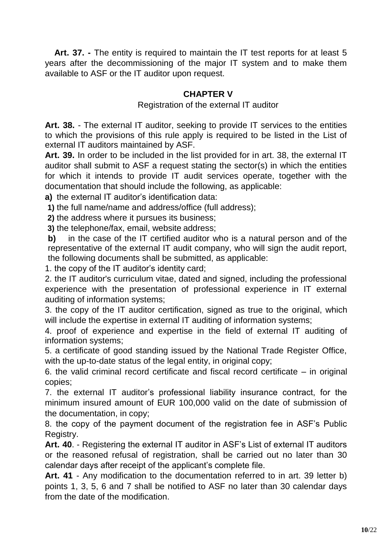**Art. 37. -** The entity is required to maintain the IT test reports for at least 5 years after the decommissioning of the major IT system and to make them available to ASF or the IT auditor upon request.

## **CHAPTER V**

Registration of the external IT auditor

**Art. 38.** - The external IT auditor, seeking to provide IT services to the entities to which the provisions of this rule apply is required to be listed in the List of external IT auditors maintained by ASF.

**Art. 39.** In order to be included in the list provided for in art. 38, the external IT auditor shall submit to ASF a request stating the sector(s) in which the entities for which it intends to provide IT audit services operate, together with the documentation that should include the following, as applicable:

**a)** the external IT auditor's identification data:

**1)** the full name/name and address/office (full address);

**2)** the address where it pursues its business;

**3)** the telephone/fax, email, website address;

**b)** in the case of the IT certified auditor who is a natural person and of the representative of the external IT audit company, who will sign the audit report, the following documents shall be submitted, as applicable:

1. the copy of the IT auditor's identity card;

2. the IT auditor's curriculum vitae, dated and signed, including the professional experience with the presentation of professional experience in IT external auditing of information systems;

3. the copy of the IT auditor certification, signed as true to the original, which will include the expertise in external IT auditing of information systems;

4. proof of experience and expertise in the field of external IT auditing of information systems;

5. a certificate of good standing issued by the National Trade Register Office, with the up-to-date status of the legal entity, in original copy;

6. the valid criminal record certificate and fiscal record certificate – in original copies;

7. the external IT auditor's professional liability insurance contract, for the minimum insured amount of EUR 100,000 valid on the date of submission of the documentation, in copy;

8. the copy of the payment document of the registration fee in ASF's Public Registry.

**Art. 40**. - Registering the external IT auditor in ASF's List of external IT auditors or the reasoned refusal of registration, shall be carried out no later than 30 calendar days after receipt of the applicant's complete file.

**Art. 41** - Any modification to the documentation referred to in art. 39 letter b) points 1, 3, 5, 6 and 7 shall be notified to ASF no later than 30 calendar days from the date of the modification.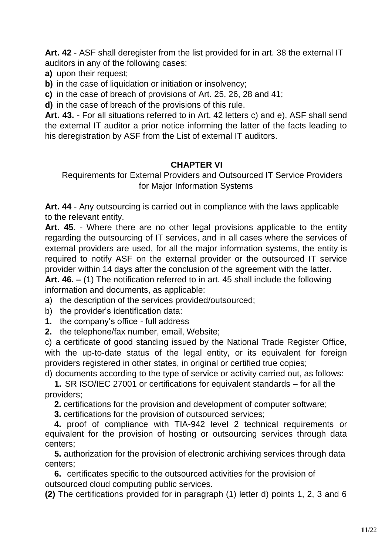**Art. 42** - ASF shall deregister from the list provided for in art. 38 the external IT auditors in any of the following cases:

**a)** upon their request;

**b)** in the case of liquidation or initiation or insolvency;

**c)** in the case of breach of provisions of Art. 25, 26, 28 and 41;

**d)** in the case of breach of the provisions of this rule.

**Art. 43.** - For all situations referred to in Art. 42 letters c) and e), ASF shall send the external IT auditor a prior notice informing the latter of the facts leading to his deregistration by ASF from the List of external IT auditors.

## **CHAPTER VI**

Requirements for External Providers and Outsourced IT Service Providers for Major Information Systems

**Art. 44** - Any outsourcing is carried out in compliance with the laws applicable to the relevant entity.

**Art. 45**. - Where there are no other legal provisions applicable to the entity regarding the outsourcing of IT services, and in all cases where the services of external providers are used, for all the major information systems, the entity is required to notify ASF on the external provider or the outsourced IT service provider within 14 days after the conclusion of the agreement with the latter.

**Art. 46. –** (1) The notification referred to in art. 45 shall include the following information and documents, as applicable:

a) the description of the services provided/outsourced;

b) the provider's identification data:

**1.** the company's office - full address

**2.** the telephone/fax number, email, Website;

c) a certificate of good standing issued by the National Trade Register Office, with the up-to-date status of the legal entity, or its equivalent for foreign providers registered in other states, in original or certified true copies;

d) documents according to the type of service or activity carried out, as follows:

**1.** SR ISO/IEC 27001 or certifications for equivalent standards – for all the providers;

**2.** certifications for the provision and development of computer software;

**3.** certifications for the provision of outsourced services;

**4.** proof of compliance with TIA-942 level 2 technical requirements or equivalent for the provision of hosting or outsourcing services through data centers;

**5.** authorization for the provision of electronic archiving services through data centers;

**6.** certificates specific to the outsourced activities for the provision of outsourced cloud computing public services.

**(2)** The certifications provided for in paragraph (1) letter d) points 1, 2, 3 and 6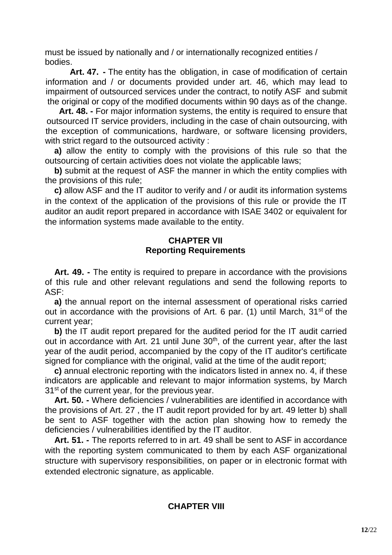must be issued by nationally and / or internationally recognized entities / bodies.

**Art. 47. -** The entity has the obligation, in case of modification of certain information and / or documents provided under art. 46, which may lead to impairment of outsourced services under the contract, to notify ASF and submit the original or copy of the modified documents within 90 days as of the change.

**Art. 48. -** For major information systems, the entity is required to ensure that outsourced IT service providers, including in the case of chain outsourcing, with the exception of communications, hardware, or software licensing providers, with strict regard to the outsourced activity :

**a)** allow the entity to comply with the provisions of this rule so that the outsourcing of certain activities does not violate the applicable laws;

**b)** submit at the request of ASF the manner in which the entity complies with the provisions of this rule;

**c)** allow ASF and the IT auditor to verify and / or audit its information systems in the context of the application of the provisions of this rule or provide the IT auditor an audit report prepared in accordance with ISAE 3402 or equivalent for the information systems made available to the entity.

#### **CHAPTER VII Reporting Requirements**

**Art. 49. -** The entity is required to prepare in accordance with the provisions of this rule and other relevant regulations and send the following reports to ASF:

**a)** the annual report on the internal assessment of operational risks carried out in accordance with the provisions of Art. 6 par. (1) until March, 31<sup>st</sup> of the current year;

**b)** the IT audit report prepared for the audited period for the IT audit carried out in accordance with Art. 21 until June 30<sup>th</sup>, of the current year, after the last year of the audit period, accompanied by the copy of the IT auditor's certificate signed for compliance with the original, valid at the time of the audit report;

**c)** annual electronic reporting with the indicators listed in annex no. 4, if these indicators are applicable and relevant to major information systems, by March  $31<sup>st</sup>$  of the current year, for the previous year.

**Art. 50. -** Where deficiencies / vulnerabilities are identified in accordance with the provisions of Art. 27 , the IT audit report provided for by art. 49 letter b) shall be sent to ASF together with the action plan showing how to remedy the deficiencies / vulnerabilities identified by the IT auditor.

**Art. 51. -** The reports referred to in art. 49 shall be sent to ASF in accordance with the reporting system communicated to them by each ASF organizational structure with supervisory responsibilities, on paper or in electronic format with extended electronic signature, as applicable.

#### **CHAPTER VIII**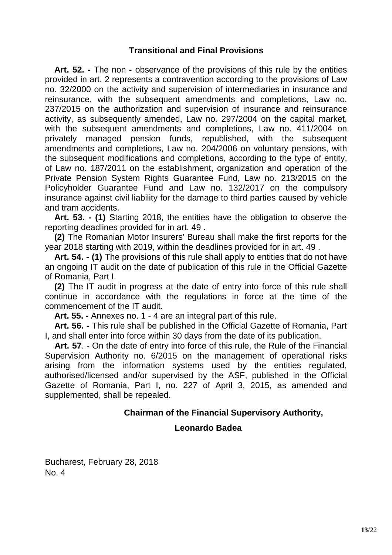### **Transitional and Final Provisions**

**Art. 52. -** The non **-** observance of the provisions of this rule by the entities provided in art. 2 represents a contravention according to the provisions of Law no. 32/2000 on the activity and supervision of intermediaries in insurance and reinsurance, with the subsequent amendments and completions, Law no. 237/2015 on the authorization and supervision of insurance and reinsurance activity, as subsequently amended, Law no. 297/2004 on the capital market, with the subsequent amendments and completions, Law no. 411/2004 on privately managed pension funds, republished, with the subsequent amendments and completions, Law no. 204/2006 on voluntary pensions, with the subsequent modifications and completions, according to the type of entity, of Law no. 187/2011 on the establishment, organization and operation of the Private Pension System Rights Guarantee Fund, Law no. 213/2015 on the Policyholder Guarantee Fund and Law no. 132/2017 on the compulsory insurance against civil liability for the damage to third parties caused by vehicle and tram accidents.

**Art. 53. - (1)** Starting 2018, the entities have the obligation to observe the reporting deadlines provided for in art. 49 .

**(2)** The Romanian Motor Insurers' Bureau shall make the first reports for the year 2018 starting with 2019, within the deadlines provided for in art. 49 .

**Art. 54. - (1)** The provisions of this rule shall apply to entities that do not have an ongoing IT audit on the date of publication of this rule in the Official Gazette of Romania, Part I.

**(2)** The IT audit in progress at the date of entry into force of this rule shall continue in accordance with the regulations in force at the time of the commencement of the IT audit.

**Art. 55. -** Annexes no. 1 - 4 are an integral part of this rule.

**Art. 56. -** This rule shall be published in the Official Gazette of Romania, Part I, and shall enter into force within 30 days from the date of its publication.

**Art. 57**. - On the date of entry into force of this rule, the Rule of the Financial Supervision Authority no. 6/2015 on the management of operational risks arising from the information systems used by the entities regulated, authorised/licensed and/or supervised by the ASF, published in the Official Gazette of Romania, Part I, no. 227 of April 3, 2015, as amended and supplemented, shall be repealed.

#### **Chairman of the Financial Supervisory Authority,**

#### **Leonardo Badea**

Bucharest, February 28, 2018 No. 4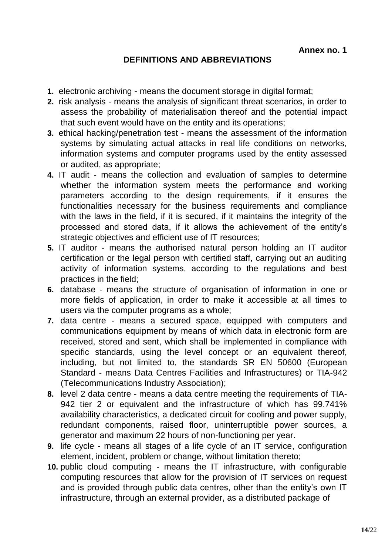## **DEFINITIONS AND ABBREVIATIONS**

- **1.** electronic archiving means the document storage in digital format;
- **2.** risk analysis means the analysis of significant threat scenarios, in order to assess the probability of materialisation thereof and the potential impact that such event would have on the entity and its operations;
- **3.** ethical hacking/penetration test means the assessment of the information systems by simulating actual attacks in real life conditions on networks, information systems and computer programs used by the entity assessed or audited, as appropriate;
- **4.** IT audit means the collection and evaluation of samples to determine whether the information system meets the performance and working parameters according to the design requirements, if it ensures the functionalities necessary for the business requirements and compliance with the laws in the field, if it is secured, if it maintains the integrity of the processed and stored data, if it allows the achievement of the entity's strategic objectives and efficient use of IT resources;
- **5.** IT auditor means the authorised natural person holding an IT auditor certification or the legal person with certified staff, carrying out an auditing activity of information systems, according to the regulations and best practices in the field;
- **6.** database means the structure of organisation of information in one or more fields of application, in order to make it accessible at all times to users via the computer programs as a whole;
- **7.** data centre means a secured space, equipped with computers and communications equipment by means of which data in electronic form are received, stored and sent, which shall be implemented in compliance with specific standards, using the level concept or an equivalent thereof, including, but not limited to, the standards SR EN 50600 (European Standard - means Data Centres Facilities and Infrastructures) or TIA-942 (Telecommunications Industry Association);
- **8.** level 2 data centre means a data centre meeting the requirements of TIA-942 tier 2 or equivalent and the infrastructure of which has 99.741% availability characteristics, a dedicated circuit for cooling and power supply, redundant components, raised floor, uninterruptible power sources, a generator and maximum 22 hours of non-functioning per year.
- **9.** life cycle means all stages of a life cycle of an IT service, configuration element, incident, problem or change, without limitation thereto;
- **10.** public cloud computing means the IT infrastructure, with configurable computing resources that allow for the provision of IT services on request and is provided through public data centres, other than the entity's own IT infrastructure, through an external provider, as a distributed package of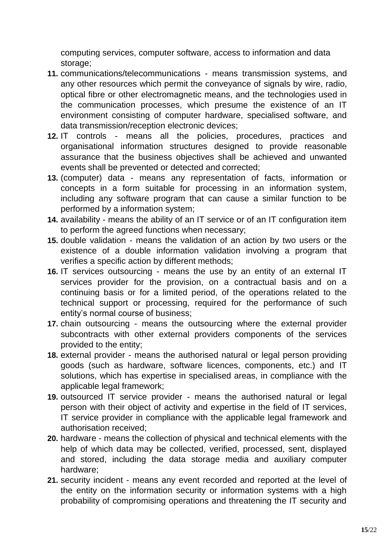computing services, computer software, access to information and data storage;

- **11.** communications/telecommunications means transmission systems, and any other resources which permit the conveyance of signals by wire, radio, optical fibre or other electromagnetic means, and the technologies used in the communication processes, which presume the existence of an IT environment consisting of computer hardware, specialised software, and data transmission/reception electronic devices;
- **12.** IT controls means all the policies, procedures, practices and organisational information structures designed to provide reasonable assurance that the business objectives shall be achieved and unwanted events shall be prevented or detected and corrected;
- **13.** (computer) data means any representation of facts, information or concepts in a form suitable for processing in an information system, including any software program that can cause a similar function to be performed by a information system;
- **14.** availability means the ability of an IT service or of an IT configuration item to perform the agreed functions when necessary;
- **15.** double validation means the validation of an action by two users or the existence of a double information validation involving a program that verifies a specific action by different methods;
- **16.** IT services outsourcing means the use by an entity of an external IT services provider for the provision, on a contractual basis and on a continuing basis or for a limited period, of the operations related to the technical support or processing, required for the performance of such entity's normal course of business;
- **17.** chain outsourcing means the outsourcing where the external provider subcontracts with other external providers components of the services provided to the entity;
- **18.** external provider means the authorised natural or legal person providing goods (such as hardware, software licences, components, etc.) and IT solutions, which has expertise in specialised areas, in compliance with the applicable legal framework;
- **19.** outsourced IT service provider means the authorised natural or legal person with their object of activity and expertise in the field of IT services, IT service provider in compliance with the applicable legal framework and authorisation received;
- **20.** hardware means the collection of physical and technical elements with the help of which data may be collected, verified, processed, sent, displayed and stored, including the data storage media and auxiliary computer hardware;
- **21.** security incident means any event recorded and reported at the level of the entity on the information security or information systems with a high probability of compromising operations and threatening the IT security and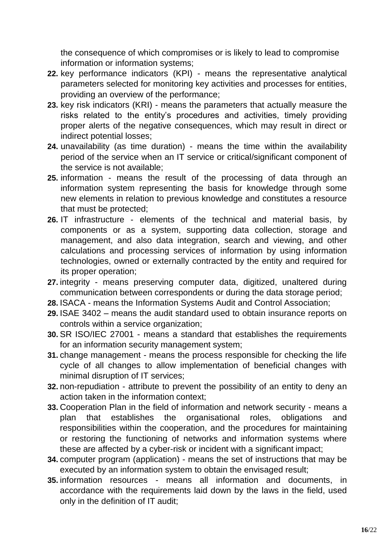the consequence of which compromises or is likely to lead to compromise information or information systems;

- **22.** key performance indicators (KPI) means the representative analytical parameters selected for monitoring key activities and processes for entities, providing an overview of the performance;
- **23.** key risk indicators (KRI) means the parameters that actually measure the risks related to the entity's procedures and activities, timely providing proper alerts of the negative consequences, which may result in direct or indirect potential losses;
- **24.** unavailability (as time duration) means the time within the availability period of the service when an IT service or critical/significant component of the service is not available;
- **25.** information means the result of the processing of data through an information system representing the basis for knowledge through some new elements in relation to previous knowledge and constitutes a resource that must be protected;
- **26.** IT infrastructure elements of the technical and material basis, by components or as a system, supporting data collection, storage and management, and also data integration, search and viewing, and other calculations and processing services of information by using information technologies, owned or externally contracted by the entity and required for its proper operation;
- **27.** integrity means preserving computer data, digitized, unaltered during communication between correspondents or during the data storage period;
- **28.** ISACA means the Information Systems Audit and Control Association;
- **29.** ISAE 3402 means the audit standard used to obtain insurance reports on controls within a service organization;
- **30.** SR ISO/IEC 27001 means a standard that establishes the requirements for an information security management system;
- **31.** change management means the process responsible for checking the life cycle of all changes to allow implementation of beneficial changes with minimal disruption of IT services;
- **32.** non-repudiation attribute to prevent the possibility of an entity to deny an action taken in the information context;
- **33.** Cooperation Plan in the field of information and network security means a plan that establishes the organisational roles, obligations and responsibilities within the cooperation, and the procedures for maintaining or restoring the functioning of networks and information systems where these are affected by a cyber-risk or incident with a significant impact;
- **34.** computer program (application) means the set of instructions that may be executed by an information system to obtain the envisaged result;
- **35.** information resources means all information and documents, in accordance with the requirements laid down by the laws in the field, used only in the definition of IT audit;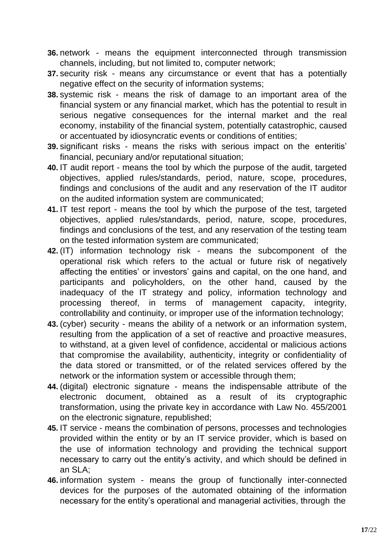- **36.** network means the equipment interconnected through transmission channels, including, but not limited to, computer network;
- **37.** security risk means any circumstance or event that has a potentially negative effect on the security of information systems;
- **38.** systemic risk means the risk of damage to an important area of the financial system or any financial market, which has the potential to result in serious negative consequences for the internal market and the real economy, instability of the financial system, potentially catastrophic, caused or accentuated by idiosyncratic events or conditions of entities;
- **39.** significant risks means the risks with serious impact on the enteritis' financial, pecuniary and/or reputational situation;
- **40.** IT audit report means the tool by which the purpose of the audit, targeted objectives, applied rules/standards, period, nature, scope, procedures, findings and conclusions of the audit and any reservation of the IT auditor on the audited information system are communicated;
- **41.** IT test report means the tool by which the purpose of the test, targeted objectives, applied rules/standards, period, nature, scope, procedures, findings and conclusions of the test, and any reservation of the testing team on the tested information system are communicated;
- **42.** (IT) information technology risk means the subcomponent of the operational risk which refers to the actual or future risk of negatively affecting the entities' or investors' gains and capital, on the one hand, and participants and policyholders, on the other hand, caused by the inadequacy of the IT strategy and policy, information technology and processing thereof, in terms of management capacity, integrity, controllability and continuity, or improper use of the information technology;
- **43.** (cyber) security means the ability of a network or an information system, resulting from the application of a set of reactive and proactive measures, to withstand, at a given level of confidence, accidental or malicious actions that compromise the availability, authenticity, integrity or confidentiality of the data stored or transmitted, or of the related services offered by the network or the information system or accessible through them;
- **44.** (digital) electronic signature means the indispensable attribute of the electronic document, obtained as a result of its cryptographic transformation, using the private key in accordance with Law No. 455/2001 on the electronic signature, republished;
- **45.** IT service means the combination of persons, processes and technologies provided within the entity or by an IT service provider, which is based on the use of information technology and providing the technical support necessary to carry out the entity's activity, and which should be defined in an SLA;
- **46.** information system means the group of functionally inter-connected devices for the purposes of the automated obtaining of the information necessary for the entity's operational and managerial activities, through the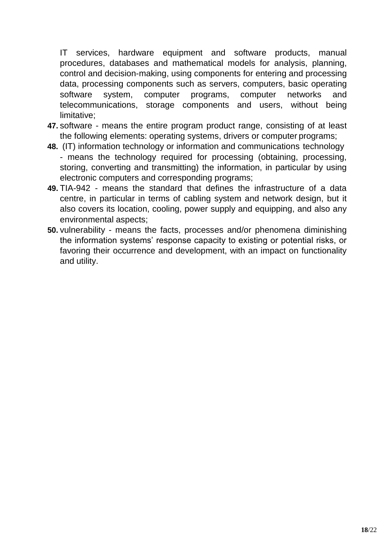IT services, hardware equipment and software products, manual procedures, databases and mathematical models for analysis, planning, control and decision-making, using components for entering and processing data, processing components such as servers, computers, basic operating software system, computer programs, computer networks and telecommunications, storage components and users, without being limitative;

- **47.** software means the entire program product range, consisting of at least the following elements: operating systems, drivers or computer programs;
- **48.** (IT) information technology or information and communications technology - means the technology required for processing (obtaining, processing, storing, converting and transmitting) the information, in particular by using electronic computers and corresponding programs;
- **49.** TIA-942 means the standard that defines the infrastructure of a data centre, in particular in terms of cabling system and network design, but it also covers its location, cooling, power supply and equipping, and also any environmental aspects;
- **50.** vulnerability means the facts, processes and/or phenomena diminishing the information systems' response capacity to existing or potential risks, or favoring their occurrence and development, with an impact on functionality and utility.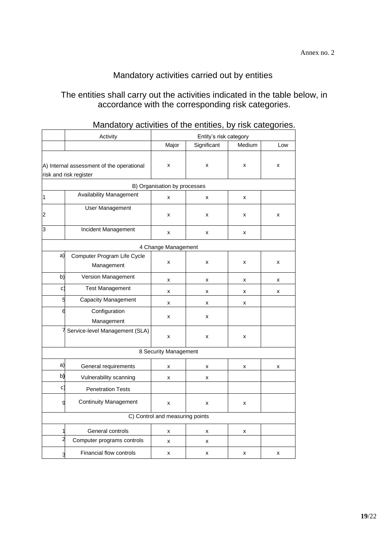## Mandatory activities carried out by entities

#### The entities shall carry out the activities indicated in the table below, in accordance with the corresponding risk categories.

|                                 | Activity<br>Entity's risk category        |                              |             |        |                    |
|---------------------------------|-------------------------------------------|------------------------------|-------------|--------|--------------------|
|                                 |                                           |                              | Significant | Medium | Low                |
|                                 |                                           |                              |             |        |                    |
|                                 | A) Internal assessment of the operational | X                            | X           | Χ      | X                  |
|                                 | risk and risk register                    |                              |             |        |                    |
|                                 |                                           | B) Organisation by processes |             |        |                    |
| 1                               | Availability Management                   | x                            | X           | x      |                    |
| 2                               | <b>User Management</b>                    | x                            | X           | x      | $\pmb{\mathsf{x}}$ |
| 3                               | Incident Management                       | x                            | x           | x      |                    |
|                                 |                                           | 4 Change Management          |             |        |                    |
| a)                              | Computer Program Life Cycle<br>Management | X                            | X           | Χ      | X                  |
| b)                              | Version Management                        | x                            | x           | x      | x                  |
| c)                              | <b>Test Management</b>                    |                              | х           | x      | х                  |
| 5                               | Capacity Management                       | x                            | X           | x      |                    |
| 6                               | Configuration                             | x                            | x           |        |                    |
|                                 | Management                                |                              |             |        |                    |
|                                 | Service-level Management (SLA)            | X                            | x           | X      |                    |
|                                 |                                           | 8 Security Management        |             |        |                    |
| a)                              | General requirements                      | x                            | X           | x      | х                  |
| b)                              | Vulnerability scanning                    | X                            | X           |        |                    |
| C)                              | <b>Penetration Tests</b>                  |                              |             |        |                    |
| g                               | <b>Continuity Management</b>              | x                            | x           | Χ      |                    |
| C) Control and measuring points |                                           |                              |             |        |                    |
| 1                               | General controls                          | x                            | x           | x      |                    |
| 2                               | Computer programs controls                | x                            | x           |        |                    |
| 3                               | Financial flow controls                   | x                            | X           | Χ      | X                  |

## Mandatory activities of the entities, by risk categories.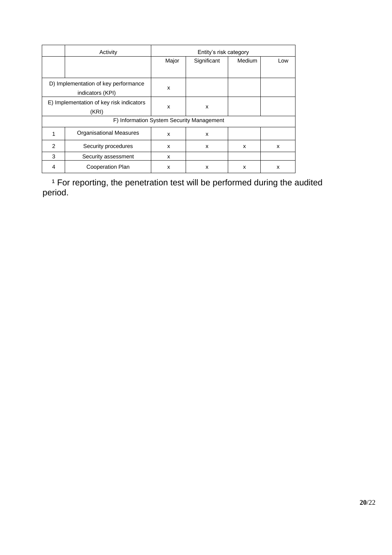|                                           | Activity                       | Entity's risk category |             |        |     |
|-------------------------------------------|--------------------------------|------------------------|-------------|--------|-----|
|                                           |                                | Major                  | Significant | Medium | Low |
|                                           |                                |                        |             |        |     |
| D) Implementation of key performance      |                                | X                      |             |        |     |
| indicators (KPI)                          |                                |                        |             |        |     |
| E) Implementation of key risk indicators  |                                | X                      | X           |        |     |
| (KRI)                                     |                                |                        |             |        |     |
| F) Information System Security Management |                                |                        |             |        |     |
| 1                                         | <b>Organisational Measures</b> | x                      | X           |        |     |
| $\overline{2}$                            | Security procedures            | x                      | X           | X      | x   |
| 3                                         | Security assessment            | x                      |             |        |     |
| 4                                         | Cooperation Plan               | x                      | X           | X      | x   |

<sup>1</sup> For reporting, the penetration test will be performed during the audited period.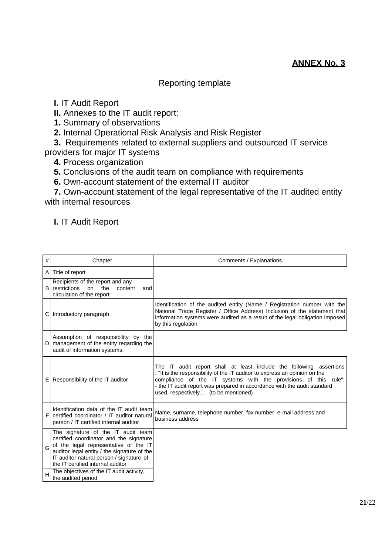## **ANNEX No. 3**

#### Reporting template

**I.** IT Audit Report

**II.** Annexes to the IT audit report:

**1.** Summary of observations

**2.** Internal Operational Risk Analysis and Risk Register

**3.** Requirements related to external suppliers and outsourced IT service providers for major IT systems

**4.** Process organization

**5.** Conclusions of the audit team on compliance with requirements

**6.** Own-account statement of the external IT auditor

**7.** Own-account statement of the legal representative of the IT audited entity with internal resources

**I.** IT Audit Report

| #            | Chapter                                                                                                                                                                                                                                                | Comments / Explanations                                                                                                                                                                                                                                                                                                                   |
|--------------|--------------------------------------------------------------------------------------------------------------------------------------------------------------------------------------------------------------------------------------------------------|-------------------------------------------------------------------------------------------------------------------------------------------------------------------------------------------------------------------------------------------------------------------------------------------------------------------------------------------|
|              | A Title of report                                                                                                                                                                                                                                      |                                                                                                                                                                                                                                                                                                                                           |
|              | Recipients of the report and any<br><b>B</b> restrictions<br>on<br>the<br>content<br>and<br>circulation of the report                                                                                                                                  |                                                                                                                                                                                                                                                                                                                                           |
|              | C Introductory paragraph                                                                                                                                                                                                                               | Identification of the audited entity (Name / Registration number with the<br>National Trade Register / Office Address) Inclusion of the statement that<br>information systems were audited as a result of the legal obligation imposed<br>by this regulation                                                                              |
| $\mathsf{D}$ | Assumption of responsibility by the<br>management of the entity regarding the<br>audit of information systems.                                                                                                                                         |                                                                                                                                                                                                                                                                                                                                           |
|              | $E$ Responsibility of the IT auditor                                                                                                                                                                                                                   | The IT audit report shall at least include the following assertions<br>: "It is the responsibility of the IT auditor to express an opinion on the<br>compliance of the IT systems with the provisions of this rule";<br>- the IT audit report was prepared in accordance with the audit standard<br>used, respectively. (to be mentioned) |
|              | Identification data of the IT audit team<br>certified coordinator / IT auditor natural<br>person / IT certified internal auditor                                                                                                                       | Name, surname, telephone number, fax number, e-mail address and<br>business address                                                                                                                                                                                                                                                       |
| G            | The signature of the IT audit team<br>certified coordinator and the signature<br>of the legal representative of the IT<br>auditor legal entity / the signature of the<br>IT auditor natural person / signature of<br>the IT certified internal auditor |                                                                                                                                                                                                                                                                                                                                           |
|              | The objectives of the IT audit activity,<br>the audited period                                                                                                                                                                                         |                                                                                                                                                                                                                                                                                                                                           |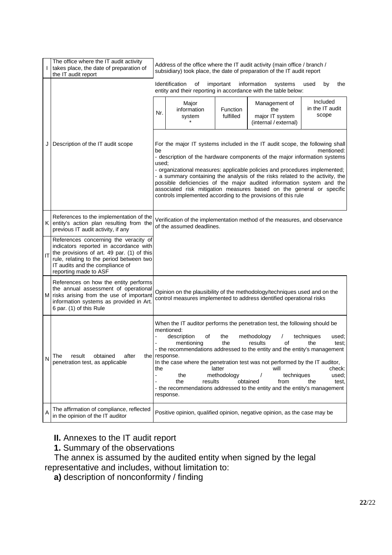| L  | The office where the IT audit activity<br>takes place, the date of preparation of<br>the IT audit report                                                                                                                              | Address of the office where the IT audit activity (main office / branch /<br>subsidiary) took place, the date of preparation of the IT audit report                                                                                                                                                                                                                                                                                                                                                                                                                                                                           |
|----|---------------------------------------------------------------------------------------------------------------------------------------------------------------------------------------------------------------------------------------|-------------------------------------------------------------------------------------------------------------------------------------------------------------------------------------------------------------------------------------------------------------------------------------------------------------------------------------------------------------------------------------------------------------------------------------------------------------------------------------------------------------------------------------------------------------------------------------------------------------------------------|
|    |                                                                                                                                                                                                                                       | Identification<br>important<br>information<br>οf<br>systems<br>used<br>by<br>the<br>entity and their reporting in accordance with the table below:                                                                                                                                                                                                                                                                                                                                                                                                                                                                            |
|    |                                                                                                                                                                                                                                       | Included<br>Major<br>Management of<br>in the IT audit<br>information<br>Function<br>the<br>Nr.<br>scope<br>fulfilled<br>major IT system<br>system<br>(internal / external)                                                                                                                                                                                                                                                                                                                                                                                                                                                    |
| JI | Description of the IT audit scope                                                                                                                                                                                                     | For the major IT systems included in the IT audit scope, the following shall<br>mentioned:<br>be<br>- description of the hardware components of the major information systems<br>used:<br>- organizational measures: applicable policies and procedures implemented;<br>- a summary containing the analysis of the risks related to the activity, the<br>possible deficiencies of the major audited information system and the<br>associated risk mitigation measures based on the general or specific<br>controls implemented according to the provisions of this rule                                                       |
| K. | References to the implementation of the<br>entity's action plan resulting from the<br>previous IT audit activity, if any                                                                                                              | Verification of the implementation method of the measures, and observance<br>of the assumed deadlines.                                                                                                                                                                                                                                                                                                                                                                                                                                                                                                                        |
| IT | References concerning the veracity of<br>indicators reported in accordance with<br>the provisions of art. 49 par. (1) of this<br>rule, relating to the period between two<br>IT audits and the compliance of<br>reporting made to ASF |                                                                                                                                                                                                                                                                                                                                                                                                                                                                                                                                                                                                                               |
| M  | References on how the entity performs<br>the annual assessment of operational<br>risks arising from the use of important<br>information systems as provided in Art.<br>6 par. (1) of this Rule                                        | Opinion on the plausibility of the methodology/techniques used and on the<br>control measures implemented to address identified operational risks                                                                                                                                                                                                                                                                                                                                                                                                                                                                             |
| N  | result<br>after<br>obtained<br>The<br>penetration test, as applicable                                                                                                                                                                 | When the IT auditor performs the penetration test, the following should be<br>mentioned:<br>description<br>of<br>methodology<br>the<br>techniques<br>used;<br>results<br>the<br>οf<br>the<br>mentioning<br>test;<br>- the recommendations addressed to the entity and the entity's management<br>the response.<br>In the case where the penetration test was not performed by the IT auditor,<br>latter<br>check:<br>the<br>will<br>methodology<br>the<br>techniques<br>used;<br>results<br>obtained<br>the<br>the<br>from<br>test.<br>- the recommendations addressed to the entity and the entity's management<br>response. |
| Α  | The affirmation of compliance, reflected<br>in the opinion of the IT auditor                                                                                                                                                          | Positive opinion, qualified opinion, negative opinion, as the case may be                                                                                                                                                                                                                                                                                                                                                                                                                                                                                                                                                     |

**II.** Annexes to the IT audit report

**1.** Summary of the observations

The annex is assumed by the audited entity when signed by the legal representative and includes, without limitation to:

**a)** description of nonconformity / finding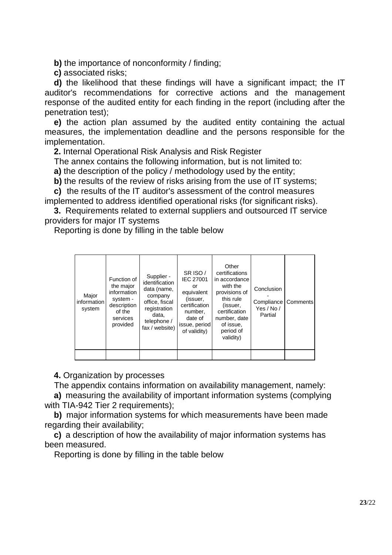**b)** the importance of nonconformity / finding:

**c)** associated risks;

**d)** the likelihood that these findings will have a significant impact; the IT auditor's recommendations for corrective actions and the management response of the audited entity for each finding in the report (including after the penetration test);

**e)** the action plan assumed by the audited entity containing the actual measures, the implementation deadline and the persons responsible for the implementation.

**2.** Internal Operational Risk Analysis and Risk Register

The annex contains the following information, but is not limited to:

**a)** the description of the policy / methodology used by the entity;

**b)** the results of the review of risks arising from the use of IT systems;

**c)** the results of the IT auditor's assessment of the control measures implemented to address identified operational risks (for significant risks).

**3.** Requirements related to external suppliers and outsourced IT service providers for major IT systems

Reporting is done by filling in the table below

**4.** Organization by processes

The appendix contains information on availability management, namely:

**a)** measuring the availability of important information systems (complying with TIA-942 Tier 2 requirements);

**b)** major information systems for which measurements have been made regarding their availability;

**c)** a description of how the availability of major information systems has been measured.

Reporting is done by filling in the table below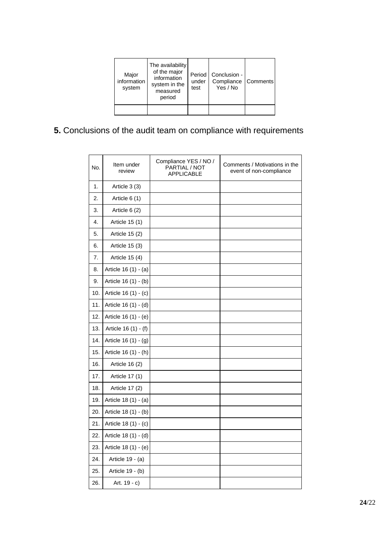| Major<br>information<br>system | The availability<br>of the major<br>information<br>system in the<br>measured<br>period | Period I<br>under<br>test | Conclusion -<br>Compliance<br>Yes / No | <b>Comments</b> |
|--------------------------------|----------------------------------------------------------------------------------------|---------------------------|----------------------------------------|-----------------|
|                                |                                                                                        |                           |                                        |                 |

# **5.** Conclusions of the audit team on compliance with requirements

| No. | Item under<br>review | Compliance YES / NO /<br>PARTIAL / NOT<br><b>APPLICABLE</b> | Comments / Motivations in the<br>event of non-compliance |
|-----|----------------------|-------------------------------------------------------------|----------------------------------------------------------|
| 1.  | Article 3 (3)        |                                                             |                                                          |
| 2.  | Article $6(1)$       |                                                             |                                                          |
| 3.  | Article 6 (2)        |                                                             |                                                          |
| 4.  | Article 15 (1)       |                                                             |                                                          |
| 5.  | Article 15 (2)       |                                                             |                                                          |
| 6.  | Article 15 (3)       |                                                             |                                                          |
| 7.  | Article 15 (4)       |                                                             |                                                          |
| 8.  | Article 16 (1) - (a) |                                                             |                                                          |
| 9.  | Article 16 (1) - (b) |                                                             |                                                          |
| 10. | Article 16 (1) - (c) |                                                             |                                                          |
| 11. | Article 16 (1) - (d) |                                                             |                                                          |
| 12. | Article 16 (1) - (e) |                                                             |                                                          |
| 13. | Article 16 (1) - (f) |                                                             |                                                          |
| 14. | Article 16 (1) - (g) |                                                             |                                                          |
| 15. | Article 16 (1) - (h) |                                                             |                                                          |
| 16. | Article 16 (2)       |                                                             |                                                          |
| 17. | Article 17 (1)       |                                                             |                                                          |
| 18. | Article 17 (2)       |                                                             |                                                          |
| 19. | Article 18 (1) - (a) |                                                             |                                                          |
| 20. | Article 18 (1) - (b) |                                                             |                                                          |
| 21. | Article 18 (1) - (c) |                                                             |                                                          |
| 22. | Article 18 (1) - (d) |                                                             |                                                          |
| 23. | Article 18 (1) - (e) |                                                             |                                                          |
| 24. | Article 19 - (a)     |                                                             |                                                          |
| 25. | Article 19 - (b)     |                                                             |                                                          |
| 26. | Art. $19 - c$ )      |                                                             |                                                          |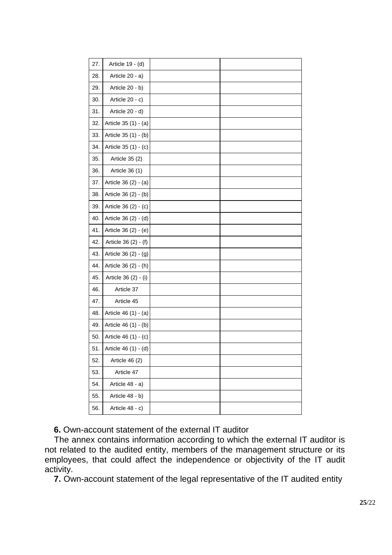| 27. | Article 19 - (d)     |  |
|-----|----------------------|--|
| 28. | Article 20 - a)      |  |
| 29. | Article 20 - b)      |  |
| 30. | Article 20 - c)      |  |
| 31. | Article 20 - d)      |  |
| 32. | Article 35 (1) - (a) |  |
| 33. | Article 35 (1) - (b) |  |
| 34. | Article 35 (1) - (c) |  |
| 35. | Article 35 (2)       |  |
| 36. | Article 36 (1)       |  |
| 37. | Article 36 (2) - (a) |  |
| 38. | Article 36 (2) - (b) |  |
| 39. | Article 36 (2) - (c) |  |
| 40. | Article 36 (2) - (d) |  |
| 41. | Article 36 (2) - (e) |  |
| 42. | Article 36 (2) - (f) |  |
| 43. | Article 36 (2) - (g) |  |
| 44. | Article 36 (2) - (h) |  |
| 45. | Article 36 (2) - (i) |  |
| 46. | Article 37           |  |
| 47. | Article 45           |  |
| 48. | Article 46 (1) - (a) |  |
| 49. | Article 46 (1) - (b) |  |
| 50. | Article 46 (1) - (c) |  |
| 51. | Article 46 (1) - (d) |  |
| 52. | Article 46 (2)       |  |
| 53. | Article 47           |  |
| 54. | Article 48 - a)      |  |
| 55. | Article 48 - b)      |  |
| 56. | Article 48 - c)      |  |
|     |                      |  |

**6.** Own-account statement of the external IT auditor

The annex contains information according to which the external IT auditor is not related to the audited entity, members of the management structure or its employees, that could affect the independence or objectivity of the IT audit activity.

**7.** Own-account statement of the legal representative of the IT audited entity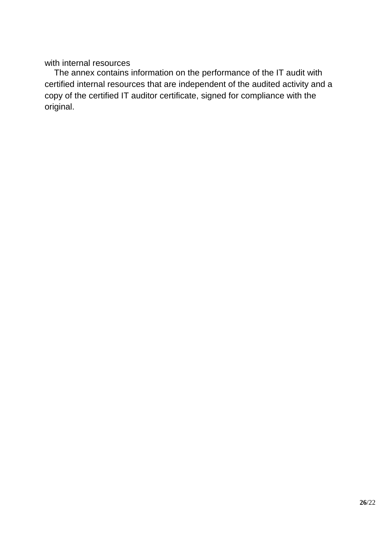with internal resources

The annex contains information on the performance of the IT audit with certified internal resources that are independent of the audited activity and a copy of the certified IT auditor certificate, signed for compliance with the original.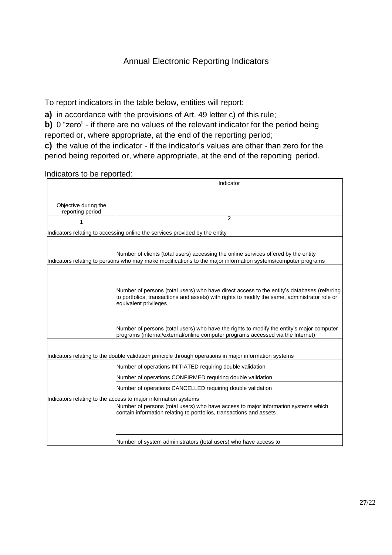## Annual Electronic Reporting Indicators

To report indicators in the table below, entities will report:

**a)** in accordance with the provisions of Art. 49 letter c) of this rule;

**b)** 0 "zero" - if there are no values of the relevant indicator for the period being reported or, where appropriate, at the end of the reporting period;

**c)** the value of the indicator - if the indicator's values are other than zero for the period being reported or, where appropriate, at the end of the reporting period.

#### Indicators to be reported:

|                                          | Indicator                                                                                                                                                                                                             |
|------------------------------------------|-----------------------------------------------------------------------------------------------------------------------------------------------------------------------------------------------------------------------|
|                                          |                                                                                                                                                                                                                       |
| Objective during the<br>reporting period |                                                                                                                                                                                                                       |
| 1                                        | 2                                                                                                                                                                                                                     |
|                                          | Indicators relating to accessing online the services provided by the entity                                                                                                                                           |
|                                          |                                                                                                                                                                                                                       |
|                                          | Number of clients (total users) accessing the online services offered by the entity                                                                                                                                   |
|                                          | Indicators relating to persons who may make modifications to the major information systems/computer programs                                                                                                          |
|                                          |                                                                                                                                                                                                                       |
|                                          |                                                                                                                                                                                                                       |
|                                          | Number of persons (total users) who have direct access to the entity's databases (referring<br>to portfolios, transactions and assets) with rights to modify the same, administrator role or<br>equivalent privileges |
|                                          |                                                                                                                                                                                                                       |
|                                          | Number of persons (total users) who have the rights to modify the entity's major computer<br>programs (internal/external/online computer programs accessed via the Internet)                                          |
|                                          |                                                                                                                                                                                                                       |
|                                          | Indicators relating to the double validation principle through operations in major information systems                                                                                                                |
|                                          | Number of operations INITIATED requiring double validation                                                                                                                                                            |
|                                          | Number of operations CONFIRMED requiring double validation                                                                                                                                                            |
|                                          | Number of operations CANCELLED requiring double validation                                                                                                                                                            |
|                                          | Indicators relating to the access to major information systems                                                                                                                                                        |
|                                          | Number of persons (total users) who have access to major information systems which<br>contain information relating to portfolios, transactions and assets                                                             |
|                                          | Number of system administrators (total users) who have access to                                                                                                                                                      |